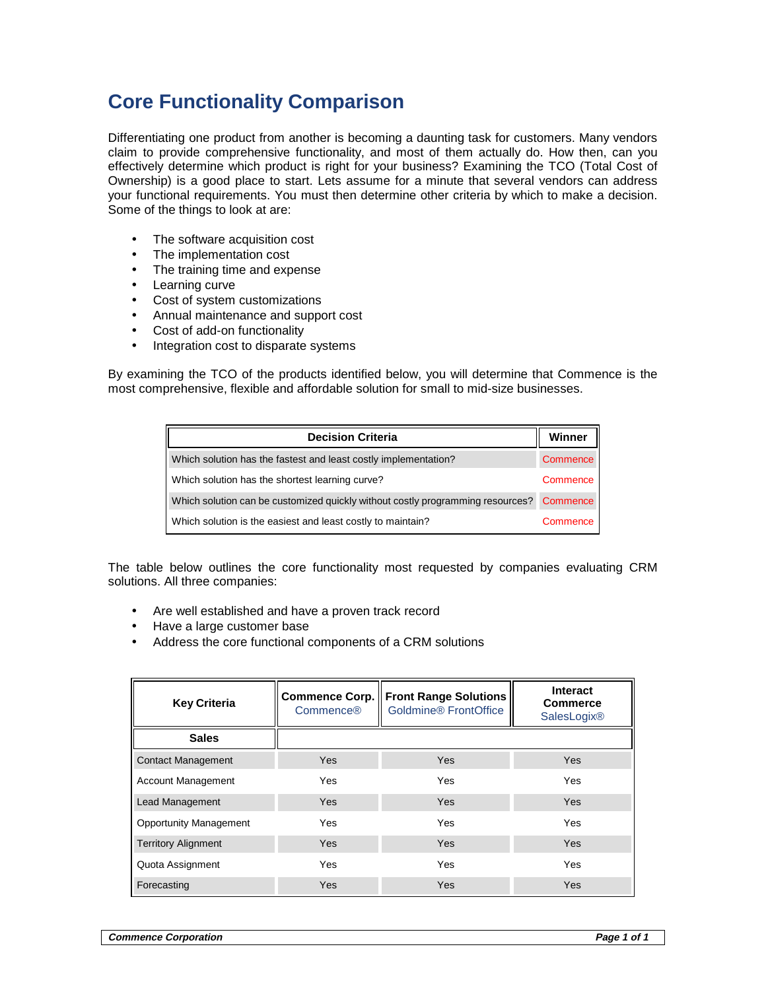## **Core Functionality Comparison**

Differentiating one product from another is becoming a daunting task for customers. Many vendors claim to provide comprehensive functionality, and most of them actually do. How then, can you effectively determine which product is right for your business? Examining the TCO (Total Cost of Ownership) is a good place to start. Lets assume for a minute that several vendors can address your functional requirements. You must then determine other criteria by which to make a decision. Some of the things to look at are:

- The software acquisition cost
- The implementation cost
- The training time and expense
- Learning curve
- Cost of system customizations
- Annual maintenance and support cost
- Cost of add-on functionality
- Integration cost to disparate systems

By examining the TCO of the products identified below, you will determine that Commence is the most comprehensive, flexible and affordable solution for small to mid-size businesses.

| <b>Decision Criteria</b>                                                       |          |
|--------------------------------------------------------------------------------|----------|
| Which solution has the fastest and least costly implementation?                | Commence |
| Which solution has the shortest learning curve?                                | Commence |
| Which solution can be customized quickly without costly programming resources? | Commence |
| Which solution is the easiest and least costly to maintain?                    | Commence |

The table below outlines the core functionality most requested by companies evaluating CRM solutions. All three companies:

- Are well established and have a proven track record
- Have a large customer base
- Address the core functional components of a CRM solutions

| <b>Key Criteria</b>           | <b>Commence Corp.</b><br>Commence® | <b>Front Range Solutions</b><br>Goldmine <sup>®</sup> FrontOffice | Interact<br><b>Commerce</b><br><b>SalesLogix®</b> |
|-------------------------------|------------------------------------|-------------------------------------------------------------------|---------------------------------------------------|
| <b>Sales</b>                  |                                    |                                                                   |                                                   |
| <b>Contact Management</b>     | <b>Yes</b>                         | Yes                                                               | <b>Yes</b>                                        |
| <b>Account Management</b>     | Yes                                | Yes                                                               | Yes                                               |
| Lead Management               | <b>Yes</b>                         | Yes                                                               | <b>Yes</b>                                        |
| <b>Opportunity Management</b> | Yes                                | Yes                                                               | <b>Yes</b>                                        |
| <b>Territory Alignment</b>    | <b>Yes</b>                         | Yes                                                               | <b>Yes</b>                                        |
| Quota Assignment              | Yes                                | Yes                                                               | Yes                                               |
| Forecasting                   | Yes                                | Yes                                                               | <b>Yes</b>                                        |